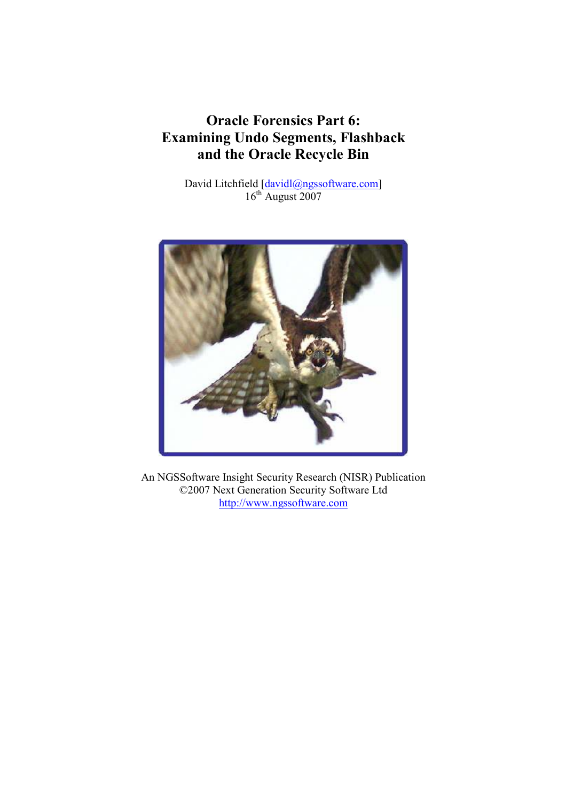# Oracle Forensics Part 6: Examining Undo Segments, Flashback and the Oracle Recycle Bin

David Litchfield [davidl@ngssoftware.com] 16<sup>th</sup> August 2007



An NGSSoftware Insight Security Research (NISR) Publication ©2007 Next Generation Security Software Ltd http://www.ngssoftware.com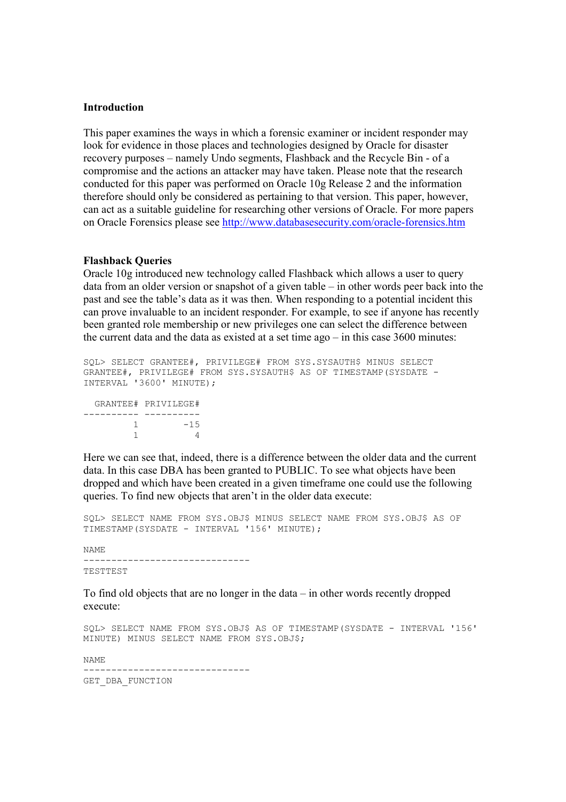#### Introduction

This paper examines the ways in which a forensic examiner or incident responder may look for evidence in those places and technologies designed by Oracle for disaster recovery purposes – namely Undo segments, Flashback and the Recycle Bin - of a compromise and the actions an attacker may have taken. Please note that the research conducted for this paper was performed on Oracle 10g Release 2 and the information therefore should only be considered as pertaining to that version. This paper, however, can act as a suitable guideline for researching other versions of Oracle. For more papers on Oracle Forensics please see http://www.databasesecurity.com/oracle-forensics.htm

#### Flashback Queries

Oracle 10g introduced new technology called Flashback which allows a user to query data from an older version or snapshot of a given table – in other words peer back into the past and see the table's data as it was then. When responding to a potential incident this can prove invaluable to an incident responder. For example, to see if anyone has recently been granted role membership or new privileges one can select the difference between the current data and the data as existed at a set time ago – in this case 3600 minutes:

SQL> SELECT GRANTEE#, PRIVILEGE# FROM SYS.SYSAUTH\$ MINUS SELECT GRANTEE#, PRIVILEGE# FROM SYS.SYSAUTH\$ AS OF TIMESTAMP(SYSDATE - INTERVAL '3600' MINUTE);

 GRANTEE# PRIVILEGE# ---------- ----------  $1 -15$ 1 4

Here we can see that, indeed, there is a difference between the older data and the current data. In this case DBA has been granted to PUBLIC. To see what objects have been dropped and which have been created in a given timeframe one could use the following queries. To find new objects that aren't in the older data execute:

SQL> SELECT NAME FROM SYS.OBJ\$ MINUS SELECT NAME FROM SYS.OBJ\$ AS OF TIMESTAMP(SYSDATE - INTERVAL '156' MINUTE);

NAME

------------------------------

TESTTEST

To find old objects that are no longer in the data – in other words recently dropped execute:

SQL> SELECT NAME FROM SYS.OBJ\$ AS OF TIMESTAMP(SYSDATE - INTERVAL '156' MINUTE) MINUS SELECT NAME FROM SYS.OBJ\$;

NAME

------------------------------ GET DBA FUNCTION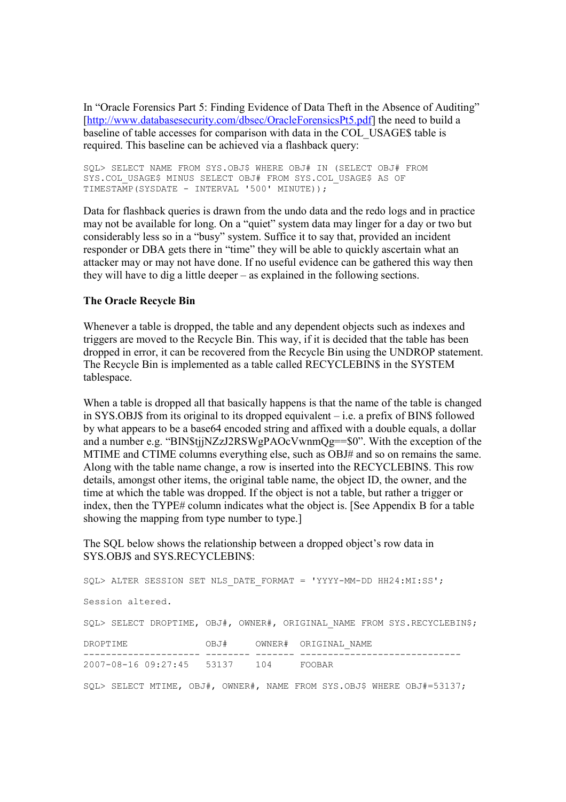In "Oracle Forensics Part 5: Finding Evidence of Data Theft in the Absence of Auditing" [http://www.databasesecurity.com/dbsec/OracleForensicsPt5.pdf] the need to build a baseline of table accesses for comparison with data in the COL\_USAGE\$ table is required. This baseline can be achieved via a flashback query:

SQL> SELECT NAME FROM SYS.OBJ\$ WHERE OBJ# IN (SELECT OBJ# FROM SYS.COL\_USAGE\$ MINUS SELECT OBJ# FROM SYS.COL\_USAGE\$ AS OF TIMESTAMP(SYSDATE - INTERVAL '500' MINUTE));

Data for flashback queries is drawn from the undo data and the redo logs and in practice may not be available for long. On a "quiet" system data may linger for a day or two but considerably less so in a "busy" system. Suffice it to say that, provided an incident responder or DBA gets there in "time" they will be able to quickly ascertain what an attacker may or may not have done. If no useful evidence can be gathered this way then they will have to dig a little deeper – as explained in the following sections.

## The Oracle Recycle Bin

Whenever a table is dropped, the table and any dependent objects such as indexes and triggers are moved to the Recycle Bin. This way, if it is decided that the table has been dropped in error, it can be recovered from the Recycle Bin using the UNDROP statement. The Recycle Bin is implemented as a table called RECYCLEBIN\$ in the SYSTEM tablespace.

When a table is dropped all that basically happens is that the name of the table is changed in SYS.OBJ\$ from its original to its dropped equivalent – i.e. a prefix of BIN\$ followed by what appears to be a base64 encoded string and affixed with a double equals, a dollar and a number e.g. "BIN\$tjjNZzJ2RSWgPAOcVwnmQg==\$0". With the exception of the MTIME and CTIME columns everything else, such as OBJ# and so on remains the same. Along with the table name change, a row is inserted into the RECYCLEBIN\$. This row details, amongst other items, the original table name, the object ID, the owner, and the time at which the table was dropped. If the object is not a table, but rather a trigger or index, then the TYPE# column indicates what the object is. [See Appendix B for a table showing the mapping from type number to type.]

The SQL below shows the relationship between a dropped object's row data in SYS.OBJ\$ and SYS.RECYCLEBIN\$:

SQL> ALTER SESSION SET NLS\_DATE\_FORMAT = 'YYYY-MM-DD HH24:MI:SS'; Session altered. SOL> SELECT DROPTIME, OBJ#, OWNER#, ORIGINAL NAME FROM SYS.RECYCLEBIN\$; DROPTIME OBJ# OWNER# ORIGINAL NAME --------------------- -------- ------- ----------------------------- 2007-08-16 09:27:45 53137 104 FOOBAR SQL> SELECT MTIME, OBJ#, OWNER#, NAME FROM SYS.OBJ\$ WHERE OBJ#=53137;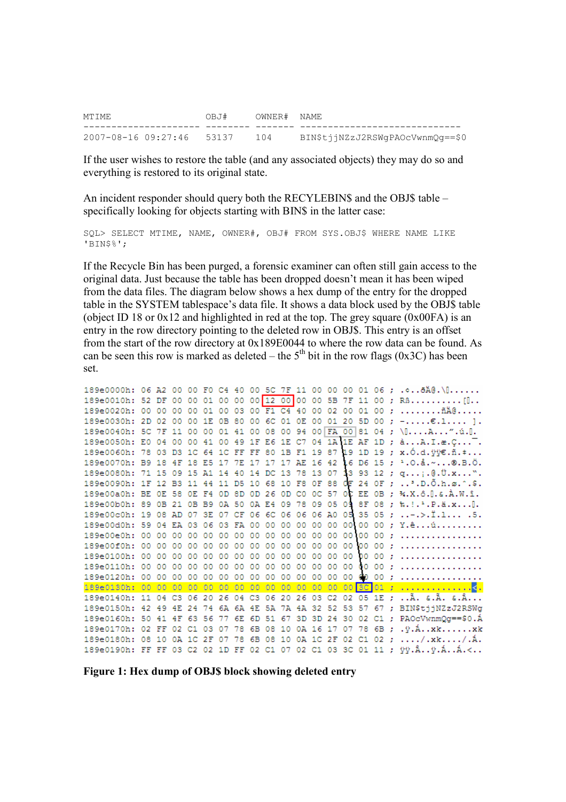| MTIME                         | OBJ# OWNER#NAME |                                  |
|-------------------------------|-----------------|----------------------------------|
|                               |                 |                                  |
| 2007-08-16 09:27:46 53137 104 |                 | BIN\$tiiNZzJ2RSWqPAOcVwnmOq==\$0 |

If the user wishes to restore the table (and any associated objects) they may do so and everything is restored to its original state.

An incident responder should query both the RECYLEBIN\$ and the OBJ\$ table – specifically looking for objects starting with BIN\$ in the latter case:

SQL> SELECT MTIME, NAME, OWNER#, OBJ# FROM SYS.OBJ\$ WHERE NAME LIKE 'BIN\$%';

If the Recycle Bin has been purged, a forensic examiner can often still gain access to the original data. Just because the table has been dropped doesn't mean it has been wiped from the data files. The diagram below shows a hex dump of the entry for the dropped table in the SYSTEM tablespace's data file. It shows a data block used by the OBJ\$ table (object ID 18 or  $0x12$  and highlighted in red at the top. The grey square  $(0x00FA)$  is an entry in the row directory pointing to the deleted row in OBJ\$. This entry is an offset from the start of the row directory at 0x189E0044 to where the row data can be found. As can be seen this row is marked as deleted – the  $5<sup>th</sup>$  bit in the row flags (0x3C) has been set.

|  |  |  |  |  |  |  |    |  | 189e0000h: 06 A2 00 00 F0 C4 40 00 5C 7F 11 00 00 00 01 06 ;                         |
|--|--|--|--|--|--|--|----|--|--------------------------------------------------------------------------------------|
|  |  |  |  |  |  |  |    |  | 189e0010h: 52 DF 00 00 01 00 00 00 01 2 00 00 00 5B 7F 11 00 ; RB[0                  |
|  |  |  |  |  |  |  |    |  |                                                                                      |
|  |  |  |  |  |  |  |    |  | 189e0030h: 2D 02 00 00 1E 0B 80 00 6C 01 0E 00 01 20 5D 00 ; - $\epsilon.1$ ].       |
|  |  |  |  |  |  |  |    |  | 189e0040h: 5C 7F 11 00 00 01 41 00 08 00 94 00 FA 00 81 04 ; \[A".ú. [].             |
|  |  |  |  |  |  |  |    |  | 189e0050h: E0 04 00 00 41 00 49 1F E6 1E C7 04 1A 1E AF 1D ; àA.I.æ.C <sup>-</sup> . |
|  |  |  |  |  |  |  |    |  | 189e0060h: 78 03 D3 1C 64 1C FF FF 80 1B F1 19 87 49 1D 19 ; x.Ó.d.ÿÿ€.ñ. *          |
|  |  |  |  |  |  |  |    |  | 189e0070h: B9 18 4F 18 E5 17 7E 17 17 17 AE 16 42 16 D6 15 ; 1.0.å.~®.B.Ö.           |
|  |  |  |  |  |  |  |    |  | 189e0080h: 71 15 09 15 A1 14 40 14 DC 13 78 13 07 13 93 12 ; q;.@. U.x".             |
|  |  |  |  |  |  |  |    |  | 189e0090h: 1F 12 B3 11 44 11 D5 10 68 10 F8 OF 88 OF 24 OF ; D. O.h.ø.^.\$.          |
|  |  |  |  |  |  |  |    |  | 189e00a0h; BE OE 58 OE F4 OD 8D OD 26 OD C0 OC 57 OC EE OB ; %.X.ô. I.&.À.W.î.       |
|  |  |  |  |  |  |  |    |  | 189e00b0h: 89 0B 21 0B B9 0A 50 0A E4 09 78 09 05 09 8F 08 ; %.!. 2. P. ä.x O.       |
|  |  |  |  |  |  |  |    |  | 189e00c0h: 19 08 AD 07 3E 07 CF 06 6C 06 06 06 A0 05 35 05 ; -.>. I.1 . 5.           |
|  |  |  |  |  |  |  |    |  | 189e00d0h: 59 04 EA 03 06 03 FA 00 00 00 00 00 00 00 00 00 ; Y.êú                    |
|  |  |  |  |  |  |  |    |  | 00 :                                                                                 |
|  |  |  |  |  |  |  |    |  |                                                                                      |
|  |  |  |  |  |  |  | 00 |  | 00 :                                                                                 |
|  |  |  |  |  |  |  |    |  |                                                                                      |
|  |  |  |  |  |  |  |    |  |                                                                                      |
|  |  |  |  |  |  |  |    |  |                                                                                      |
|  |  |  |  |  |  |  |    |  | 189e0140h: 11 04 C3 06 20 26 04 C3 06 20 26 03 C2 02 05 1E ; A. &.A. &.A             |
|  |  |  |  |  |  |  |    |  | 189e0150h: 42 49 4E 24 74 6A 6A 4E 5A 7A 4A 32 52 53 57 67 ; BIN\$tjjNZzJ2RSWg       |
|  |  |  |  |  |  |  |    |  | 189e0160h: 50 41 4F 63 56 77 6E 6D 51 67 3D 3D 24 30 02 C1 ; PAOcVwnmQg==\$0.A       |
|  |  |  |  |  |  |  |    |  | 189e0170h: 02 FF 02 C1 03 07 78 6B 08 10 0A 16 17 07 78 6B ; . y.Axkxk               |
|  |  |  |  |  |  |  |    |  | 189e0180h: 08 10 0A 1C 2F 07 78 6B 08 10 0A 1C 2F 02 C1 02 ; /.xk/.A.                |
|  |  |  |  |  |  |  |    |  | 189e0190h: FF FF 03 C2 02 1D FF 02 C1 07 02 C1 03 3C 01 11 ; ÿÿ.Âÿ.ÁÁ.<              |

Figure 1: Hex dump of OBJ\$ block showing deleted entry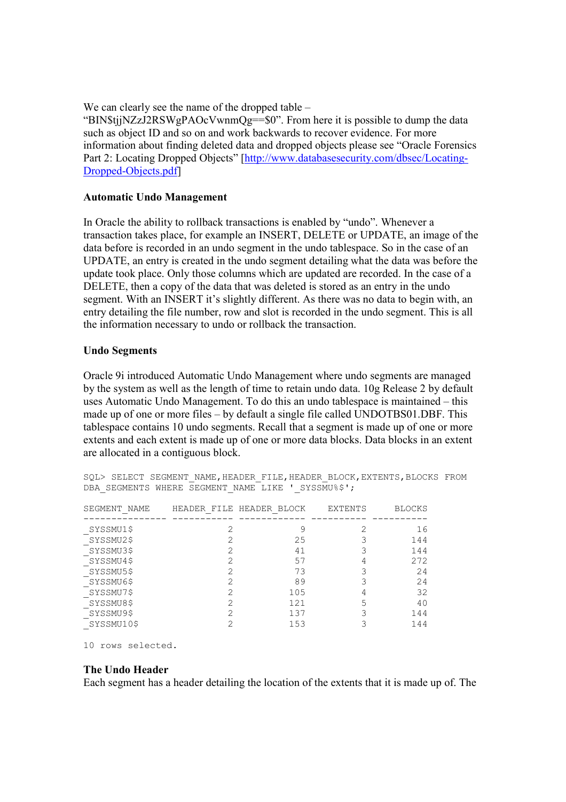We can clearly see the name of the dropped table –

"BIN\$tjjNZzJ2RSWgPAOcVwnmQg==\$0". From here it is possible to dump the data such as object ID and so on and work backwards to recover evidence. For more information about finding deleted data and dropped objects please see "Oracle Forensics Part 2: Locating Dropped Objects" [http://www.databasesecurity.com/dbsec/Locating-Dropped-Objects.pdf]

# Automatic Undo Management

In Oracle the ability to rollback transactions is enabled by "undo". Whenever a transaction takes place, for example an INSERT, DELETE or UPDATE, an image of the data before is recorded in an undo segment in the undo tablespace. So in the case of an UPDATE, an entry is created in the undo segment detailing what the data was before the update took place. Only those columns which are updated are recorded. In the case of a DELETE, then a copy of the data that was deleted is stored as an entry in the undo segment. With an INSERT it's slightly different. As there was no data to begin with, an entry detailing the file number, row and slot is recorded in the undo segment. This is all the information necessary to undo or rollback the transaction.

## Undo Segments

Oracle 9i introduced Automatic Undo Management where undo segments are managed by the system as well as the length of time to retain undo data. 10g Release 2 by default uses Automatic Undo Management. To do this an undo tablespace is maintained – this made up of one or more files – by default a single file called UNDOTBS01.DBF. This tablespace contains 10 undo segments. Recall that a segment is made up of one or more extents and each extent is made up of one or more data blocks. Data blocks in an extent are allocated in a contiguous block.

| PDII ODUIDIVIO WIIDIVD | COULDN'T MILL DITIO                                                                                                                                             |                          | U T DUITOUT I  |               |
|------------------------|-----------------------------------------------------------------------------------------------------------------------------------------------------------------|--------------------------|----------------|---------------|
| SEGMENT NAME           |                                                                                                                                                                 | HEADER FILE HEADER BLOCK | <b>EXTENTS</b> | <b>BLOCKS</b> |
| SYSSMU1\$              |                                                                                                                                                                 | 9                        |                | 16            |
| SYSSMU2\$<br>SYSSMU3\$ |                                                                                                                                                                 | 25<br>41                 |                | 144<br>144    |
| SYSSMU4\$<br>SYSSMU5\$ |                                                                                                                                                                 | 57<br>73                 |                | 272<br>24     |
| SYSSMU6\$              |                                                                                                                                                                 | 89                       |                | 24            |
| SYSSMU7\$              |                                                                                                                                                                 | 105<br>121               |                | 32            |
| SYSSMU8\$<br>SYSSMU9\$ | $\mathcal{D}_{\mathcal{A}}^{\mathcal{A}}(\mathcal{A})=\mathcal{D}_{\mathcal{A}}^{\mathcal{A}}(\mathcal{A})\mathcal{D}_{\mathcal{A}}^{\mathcal{A}}(\mathcal{A})$ | 137                      |                | 40<br>144     |
| SYSSMU10\$             |                                                                                                                                                                 | 153                      |                | 144           |

SQL> SELECT SEGMENT NAME, HEADER FILE, HEADER BLOCK, EXTENTS, BLOCKS FROM DBA\_SEGMENTS WHERE SEGMENT NAME LIKE '\_SYSSMU%\$';

10 rows selected.

#### The Undo Header

Each segment has a header detailing the location of the extents that it is made up of. The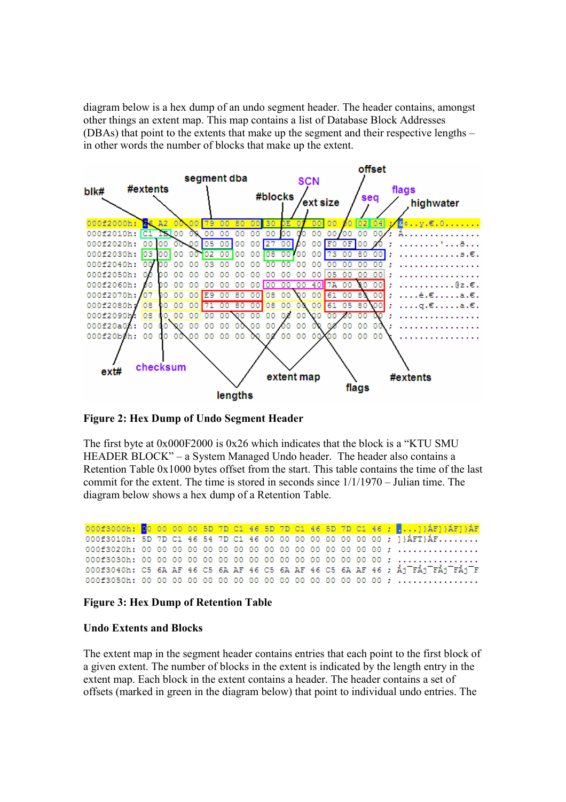diagram below is a hex dump of an undo segment header. The header contains, amongst other things an extent map. This map contains a list of Database Block Addresses (DBAs) that point to the extents that make up the segment and their respective lengths – in other words the number of blocks that make up the extent.



Figure 2: Hex Dump of Undo Segment Header

The first byte at  $0x000F2000$  is  $0x26$  which indicates that the block is a "KTU SMU HEADER BLOCK" – a System Managed Undo header. The header also contains a Retention Table 0x1000 bytes offset from the start. This table contains the time of the last commit for the extent. The time is stored in seconds since 1/1/1970 – Julian time. The diagram below shows a hex dump of a Retention Table.

000f3000h: 00 00 00 00 5D 7D C1 46 5D 7D C1 46 5D 7D C1 46 ; ... 1) AF1) AF1) AF 000f3010h: 5D 7D C1 46 54 7D C1 46 00 00 00 00 00 00 00 00 ; ]}AFT}AF........ 000f3040h: C5 6A AF 46 C5 6A AF 46 C5 6A AF 46 C5 6A AF 46 ; Åj FÅj FÅj FÅj F 

#### Figure 3: Hex Dump of Retention Table

#### Undo Extents and Blocks

The extent map in the segment header contains entries that each point to the first block of a given extent. The number of blocks in the extent is indicated by the length entry in the extent map. Each block in the extent contains a header. The header contains a set of offsets (marked in green in the diagram below) that point to individual undo entries. The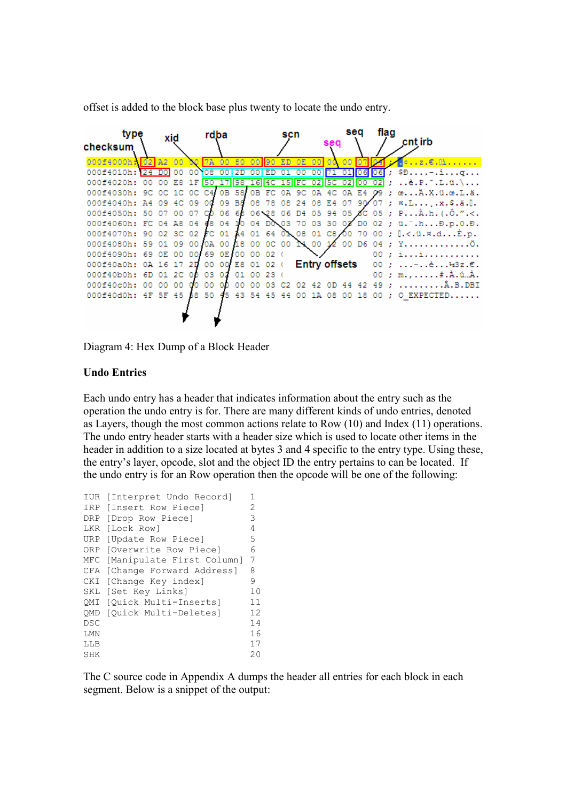offset is added to the block base plus twenty to locate the undo entry.

| type<br>checksum |     |     | xid |       | rdba     |      |             |     |            | scn |                   |                      | sea            |                | sea               |    | flad | cnt irb                                                                                                           |
|------------------|-----|-----|-----|-------|----------|------|-------------|-----|------------|-----|-------------------|----------------------|----------------|----------------|-------------------|----|------|-------------------------------------------------------------------------------------------------------------------|
| 000f4000h: 02 A2 |     |     | 00  | CO.   | 7A 00 80 |      |             |     | $00$ 30 ED |     | 0E                | 00                   | 00.            | 00             | 07                |    |      | $\cdot \circ \ldots \circ \circ \circ \circ \circ \vdots \circ \ldots \circ \circ \circ \circ \circ \circ \vdots$ |
| 000f4010h: 24    |     | DOI | 00  | 00    | 108      | 00   | 2D          |     | ED.        | 01  | 00                | 00                   | 71             |                | 06                | 06 |      |                                                                                                                   |
| 000f4020h:       | 00  |     | E8. | 1F    | 50       | 17   |             |     |            |     | 98 16 4C 15 FC 02 |                      | 5 <sub>C</sub> | $\overline{0}$ | 00                |    |      | è.P.~.L.ü.\                                                                                                       |
| 000f4030h:       | 9C. | OC. |     | 1C OC | C4.      |      | 0B 58 0B FC |     |            | OΆ  | 9C.               |                      | 0A 4C          | OΆ             | E4                |    |      | œÄ.X.ü.œ.L.ä.                                                                                                     |
| 000f4040h:       | Α4  | 09  | 4C  | 09    | ođ       |      | 09 B8       |     | 08 78      |     | 08 24             | oв                   | E4             | 07             | 90'               | 07 |      | ; $x.L$ , $x.S.d.$ .                                                                                              |
| 000f4050h:       | 50  | 07  | 00  | 07    | CD.      |      | O6 68       |     |            |     |                   |                      |                |                |                   |    |      | 06 $\leq$ 8 06 D4 05 94 05 8C 05 ; PA.h. (.O.".<.                                                                 |
| 000f4060h: FC 04 |     |     |     | A8 04 | 68.      | 04   |             |     |            |     |                   |                      |                |                |                   |    |      | 10 04 DO 03 70 03 30 02 DO 02 ; ü. n D.p.0.D.                                                                     |
| 000f4070h: 90    |     | 02. |     | 3C 02 | EC.      | 01   |             |     | A4 01 64   |     | 01 08 01 C8 00    |                      |                |                | 70                |    |      | 00 ; $[. \langle .\ddot{u}, \vec{x}, d,\ddot{E}, p,$                                                              |
| 000f4080h: 59    |     | 01  | 09  | 00    | 0A.      | 00   | 18          |     | 00 0C 00   |     |                   |                      |                |                | 14 00 12 00 D6 04 |    |      | .: YO.                                                                                                            |
| 000f4090h:       | 69  | OΕ  | 00  | 001   | 69.      | OE I | 00          |     | $0002$ (   |     |                   |                      |                |                |                   | 00 |      | : 1.1.1.1.1.1.1.1.1.1.1.                                                                                          |
| 000f40a0h:       | OΆ  | 16  |     | 20    | 00       | 00.  |             |     | E8 01 02 ( |     |                   | <b>Entry offsets</b> |                |                |                   | 00 | - 2  | $\ldots$ - $\ldots$ è $\ldots$ 43z. $\epsilon$ .                                                                  |
| 000f40b0h:       | 6D  | 01  | 2C  | ററ    | 03       | 02   | 01          | 00  | -23        |     |                   |                      |                |                |                   | 00 |      | ; m.,#.A.ú…À.                                                                                                     |
| 000f40c0h:       | nn  | o٥  | 00  |       |          |      |             |     |            |     |                   |                      |                |                |                   | 49 |      | .B.DBI                                                                                                            |
| 000f40d0h:       | 4F  | 5F  | 45  | 58.   | 50       | 45.  | 43          | -54 | 45         | 44  | 00                |                      |                |                | 18                | 00 |      | EXPECTED.                                                                                                         |
|                  |     |     |     |       |          |      |             |     |            |     |                   |                      |                |                |                   |    |      |                                                                                                                   |

Diagram 4: Hex Dump of a Block Header

# Undo Entries

Each undo entry has a header that indicates information about the entry such as the operation the undo entry is for. There are many different kinds of undo entries, denoted as Layers, though the most common actions relate to Row (10) and Index (11) operations. The undo entry header starts with a header size which is used to locate other items in the header in addition to a size located at bytes 3 and 4 specific to the entry type. Using these, the entry's layer, opcode, slot and the object ID the entry pertains to can be located. If the undo entry is for an Row operation then the opcode will be one of the following:

| IUR        | [Interpret Undo Record]   | 1  |
|------------|---------------------------|----|
| IRP        | [Insert Row Piece]        | 2  |
| DRP        | [Drop Row Piece]          | 3  |
| LKR        | [Lock Row]                | 4  |
| URP        | [Update Row Piece]        | 5  |
| ORP        | [Overwrite Row Piece]     | 6  |
| MFC        | [Manipulate First Column] | 7  |
| CFA        | [Change Forward Address]  | 8  |
| CKI        | [Change Key index]        | 9  |
| SKL        | [Set Key Links]           | 10 |
| OMI        | [Ouick Multi-Inserts]     | 11 |
|            | OMD [Ouick Multi-Deletes] | 12 |
| <b>DSC</b> |                           | 14 |
| LMN        |                           | 16 |
| LLB        |                           | 17 |
| SHK        |                           | 20 |

The C source code in Appendix A dumps the header all entries for each block in each segment. Below is a snippet of the output: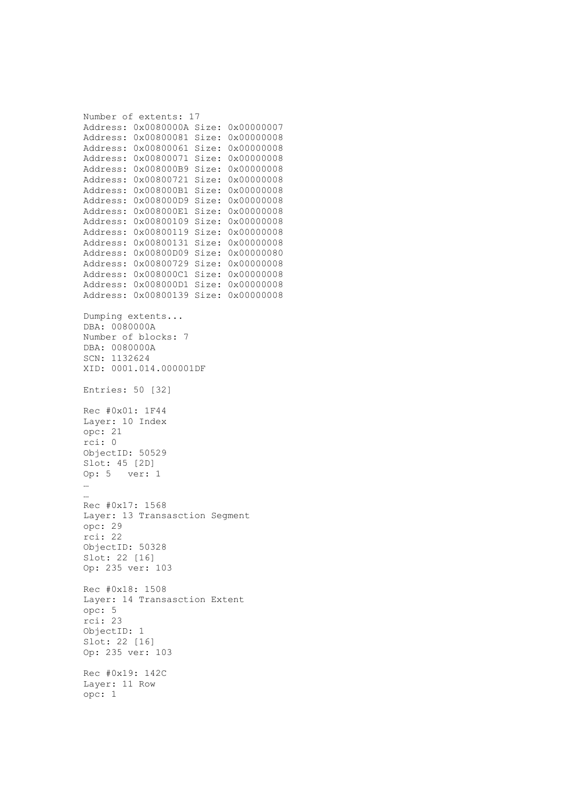```
Number of extents: 17 
Address: 0x0080000A Size: 0x00000007 
Address: 0x00800081 Size: 0x00000008 
Address: 0x00800061 Size: 0x00000008 
Address: 0x00800071 Size: 0x00000008 
Address: 0x008000B9 Size: 0x00000008 
Address: 0x00800721 Size: 0x00000008 
Address: 0x008000B1 Size: 0x00000008 
Address: 0x008000D9 Size: 0x00000008 
Address: 0x008000E1 Size: 0x00000008 
Address: 0x00800109 Size: 0x00000008 
Address: 0x00800119 Size: 0x00000008 
Address: 0x00800131 Size: 0x00000008 
Address: 0x00800D09 Size: 0x00000080 
Address: 0x00800729 Size: 0x00000008 
Address: 0x008000C1 Size: 0x00000008 
Address: 0x008000D1 Size: 0x00000008 
Address: 0x00800139 Size: 0x00000008 
Dumping extents... 
DBA: 0080000A 
Number of blocks: 7 
DBA: 0080000A 
SCN: 1132624 
XID: 0001.014.000001DF 
Entries: 50 [32] 
Rec #0x01: 1F44 
Layer: 10 Index 
opc: 21 
rci: 0 
ObjectID: 50529 
Slot: 45 [2D] 
Op: 5 ver: 1 
… 
… 
Rec #0x17: 1568 
Layer: 13 Transasction Segment 
opc: 29 
rci: 22 
ObjectID: 50328 
Slot: 22 [16] 
Op: 235 ver: 103 
Rec #0x18: 1508 
Layer: 14 Transasction Extent 
opc: 5 
rci: 23 
ObjectID: 1 
Slot: 22 [16] 
Op: 235 ver: 103 
Rec #0x19: 142C 
Layer: 11 Row 
opc: 1
```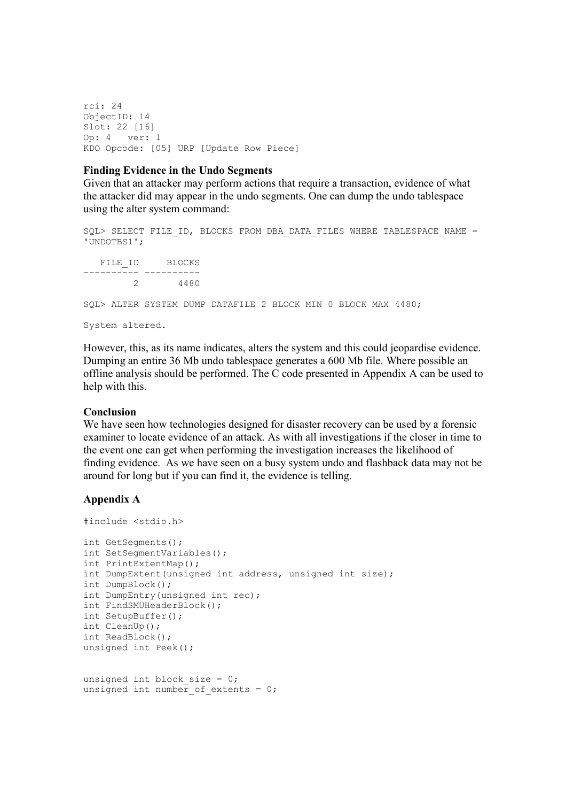rci: 24 ObjectID: 14 Slot: 22 [16] Op: 4 ver: 1 KDO Opcode: [05] URP [Update Row Piece]

#### Finding Evidence in the Undo Segments

Given that an attacker may perform actions that require a transaction, evidence of what the attacker did may appear in the undo segments. One can dump the undo tablespace using the alter system command:

SQL> SELECT FILE ID, BLOCKS FROM DBA DATA FILES WHERE TABLESPACE NAME = 'UNDOTBS1'; FILE ID BLOCKS ---------- ---------- 2 4480 SQL> ALTER SYSTEM DUMP DATAFILE 2 BLOCK MIN 0 BLOCK MAX 4480;

System altered.

However, this, as its name indicates, alters the system and this could jeopardise evidence. Dumping an entire 36 Mb undo tablespace generates a 600 Mb file. Where possible an offline analysis should be performed. The C code presented in Appendix A can be used to help with this.

#### Conclusion

We have seen how technologies designed for disaster recovery can be used by a forensic examiner to locate evidence of an attack. As with all investigations if the closer in time to the event one can get when performing the investigation increases the likelihood of finding evidence. As we have seen on a busy system undo and flashback data may not be around for long but if you can find it, the evidence is telling.

#### Appendix A

```
#include <stdio.h> 
int GetSegments(); 
int SetSegmentVariables(); 
int PrintExtentMap(); 
int DumpExtent(unsigned int address, unsigned int size); 
int DumpBlock(); 
int DumpEntry(unsigned int rec); 
int FindSMUHeaderBlock(); 
int SetupBuffer(); 
int CleanUp(); 
int ReadBlock(); 
unsigned int Peek(); 
unsigned int block size = 0;
unsigned int number of extents = 0;
```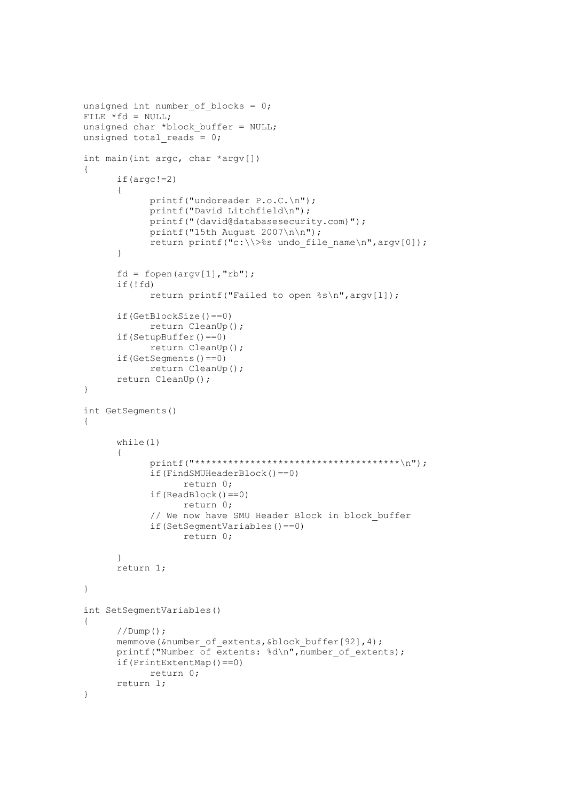```
unsigned int number of blocks = 0;FILE *fd = NULL;unsigned char *block buffer = NULL;
unsigned total reads = 0;int main(int argc, char *argv[]) 
{ 
       if(argc!=2) 
       { 
              printf("undoreader P.o.C.\n"); 
              printf("David Litchfield\n"); 
              printf("(david@databasesecurity.com)"); 
              printf("15th August 2007\n\n"); 
             return printf("c:\\>%s undo file name\n",argv[0]);
       } 
      fd = fopen(argv[1], "rb"); if(!fd) 
              return printf("Failed to open %s\n",argv[1]); 
       if(GetBlockSize()==0) 
              return CleanUp(); 
       if(SetupBuffer()==0) 
              return CleanUp(); 
       if(GetSegments()==0) 
              return CleanUp(); 
       return CleanUp(); 
} 
int GetSegments() 
{ 
       while(1) 
       { 
             printf("*************************************************)n");
              if(FindSMUHeaderBlock()==0) 
                    return 0; 
              if(ReadBlock()==0) 
                    return 0; 
             // We now have SMU Header Block in block buffer
              if(SetSegmentVariables()==0) 
                    return 0; 
 } 
       return 1; 
} 
int SetSegmentVariables() 
{ 
       //Dump(); 
      memmove(&number_of_extents,&block_buffer[92],4);
      printf("Number of extents: d\n\infty, number of extents);
       if(PrintExtentMap()==0) 
              return 0; 
       return 1; 
}
```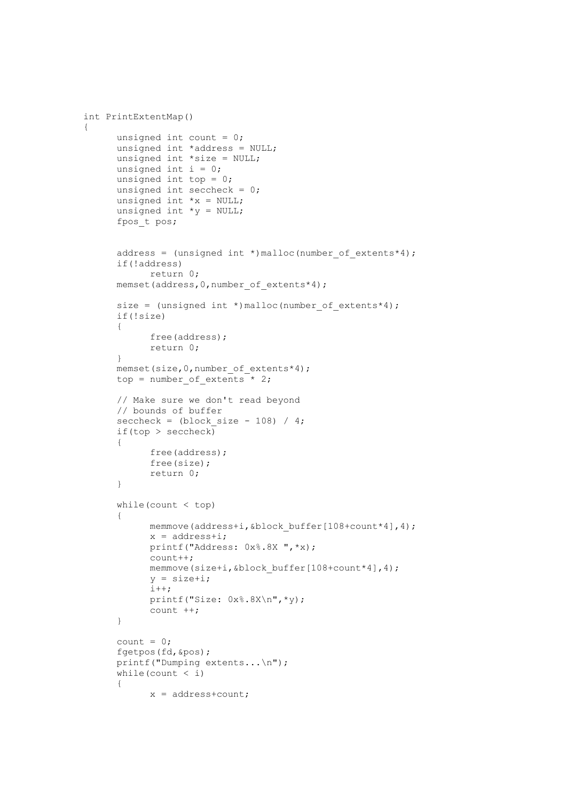```
int PrintExtentMap() 
      unsigned int count = 0;
       unsigned int *address = NULL; 
       unsigned int *size = NULL; 
      unsigned int i = 0;
      unsigned int top = 0;
      unsigned int seccheck = 0;
      unsigned int *x = NULL;unsigned int *_{V} = NULL;
       fpos_t pos; 
      address = (unsigned int *)malloc(number of extents*4);
       if(!address) 
              return 0; 
      memset(address, 0, number of extents*4);
      size = (unsigned int *)malloc(number of extents*4);
       if(!size) 
       { 
              free(address); 
              return 0; 
       } 
      memset(size, 0, number of extents*4);
      top = number of extents * 2;
       // Make sure we don't read beyond 
       // bounds of buffer 
      seccheck = (block\_size - 108) / 4;if(top > seccheck) { 
              free(address); 
              free(size); 
              return 0; 
       } 
      while(count < top)
       { 
             memmove(address+i, &block buffer[108+count*4],4);
             x = address+i; printf("Address: 0x%.8X ",*x); 
              count++; 
             memmove(size+i, &block buffer[108+count*4],4);
             y = size + i; i++; 
              printf("Size: 0x%.8X\n",*y); 
              count ++; 
       } 
      count = 0; fgetpos(fd,&pos); 
       printf("Dumping extents...\n"); 
      while(count \langle i \rangle { 
             x = address + count;
```
{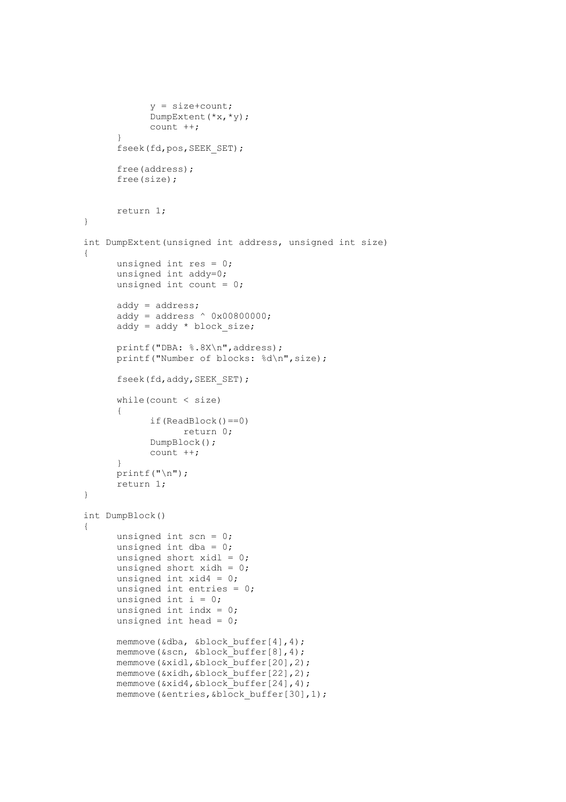```
y = size + count; DumpExtent(*x,*y); 
              count ++; 
 } 
       fseek(fd,pos,SEEK_SET); 
       free(address); 
       free(size); 
       return 1; 
} 
int DumpExtent(unsigned int address, unsigned int size) 
{ 
       unsigned int res = 0; 
       unsigned int addy=0; 
      unsigned int count = 0;
       addy = address; 
      addy = address \land 0x00800000;
      \text{addy} = \text{addy} * \text{block size};printf("DBA: %.8X\n", address);
       printf("Number of blocks: %d\n",size); 
       fseek(fd,addy,SEEK_SET); 
       while(count < size) 
       { 
              if(ReadBlock()==0) 
                    return 0; 
              DumpBlock(); 
              count ++; 
       } 
       printf("\n"); 
       return 1; 
} 
int DumpBlock() 
{ 
      unsigned int scn = 0;
      unsigned int dba = 0;
      unsigned short xidl = 0;
      unsigned short xidh = 0;
      unsigned int xid4 = 0;
       unsigned int entries = 0; 
      unsigned int i = 0;
      unsigned int indx = 0;
      unsigned int head = 0;
       memmove(&dba, &block_buffer[4],4); 
       memmove(&scn, &block_buffer[8],4); 
      memmove(&xidl, &block buffer[20], 2);
      memmove(&xidh, &block_buffer[22],2);
      memmove(&xid4, &block_buffer[24], 4);
      memmove(&entries, &block buffer[30],1);
```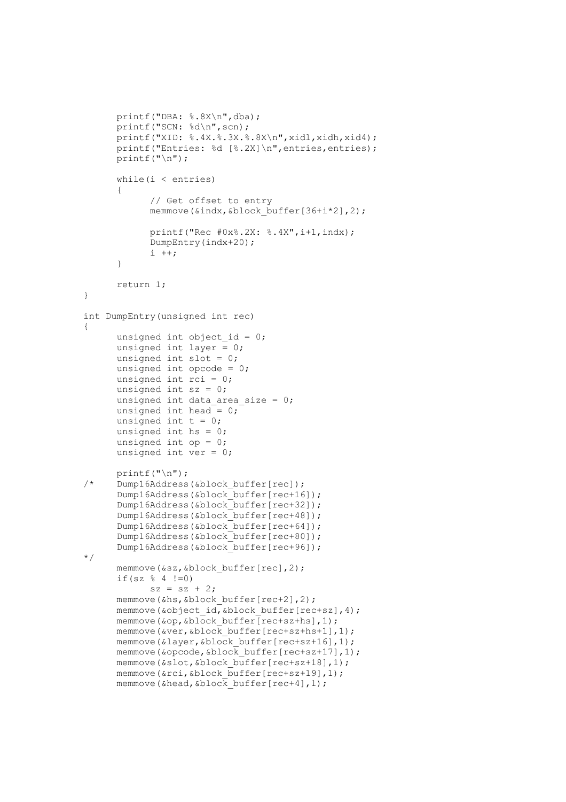```
 printf("DBA: %.8X\n",dba); 
       printf("SCN: %d\n",scn); 
       printf("XID: %.4X.%.3X.%.8X\n",xidl,xidh,xid4); 
      printf("Entries: %d [%.2X]\n", entries, entries);
      printf("n");
      while(i <entries)
       { 
              // Get offset to entry 
             memmove(&indx, &block buffer[36+i*2],2);
              printf("Rec #0x%.2X: %.4X",i+1,indx); 
              DumpEntry(indx+20); 
             i ++;
       } 
       return 1; 
} 
int DumpEntry(unsigned int rec) 
{ 
      unsigned int object id = 0;unsigned int layer = 0;
      unsigned int slot = 0;
      unsigned int opcode = 0;
      unsigned int rci = 0;
      unsigned int sz = 0;
      unsigned int data area size = 0;unsigned int head = 0;
      unsigned int t = 0;
      unsigned int hs = 0;
      unsigned int op = 0;unsigned int ver = 0;
\begin{array}{r} \text{printf("n");} \\ \text{Dump16Address} \end{array}Dump16Address(&block buffer[rec]);
       Dump16Address(&block_buffer[rec+16]); 
       Dump16Address(&block_buffer[rec+32]); 
       Dump16Address(&block_buffer[rec+48]); 
       Dump16Address(&block_buffer[rec+64]); 
       Dump16Address(&block_buffer[rec+80]); 
       Dump16Address(&block_buffer[rec+96]); 
*/ 
       memmove(&sz,&block_buffer[rec],2); 
      if(sz % 4 !=0)
             sz = sz + 2;memmove(&hs, &block buffer[rec+2], 2);
      memmove(&object_id, &block_buffer[rec+sz], 4);
      memmove(&op, &block buffer[rec+sz+hs],1);
      memmove(\&ver, \&blockbuffer[rec+sz+hs+1],1);
      memmove(&layer, &block buffer[rec+sz+16],1);
      memmove(\&opcode,\&block buffer[rec+sz+17],1);
      memmove(&slot, &block buffer[rec+sz+18],1);
      memmove(&rci, &block buffer[rec+sz+19],1);
      memmove(&head, &block buffer[rec+4],1);
```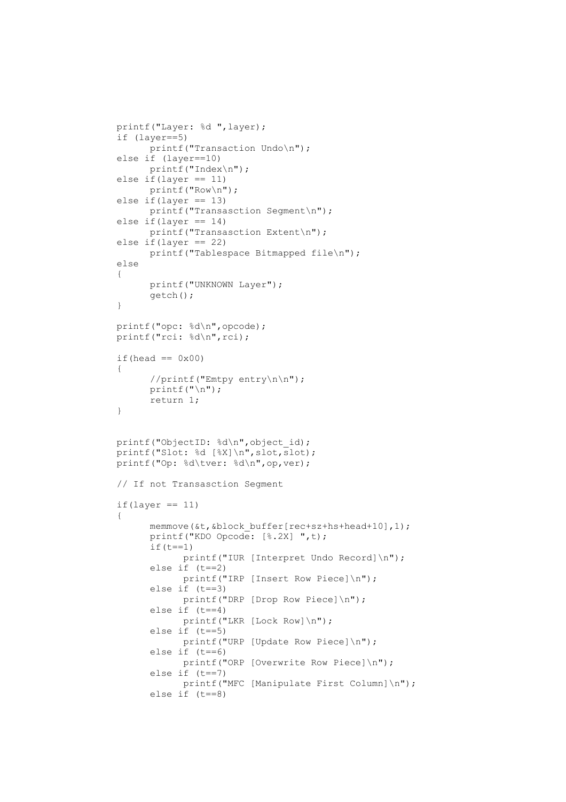```
 printf("Layer: %d ",layer); 
 if (layer==5) 
      printf("Transaction Undo\n");
 else if (layer==10) 
       printf("Index\n"); 
else if(layer == 11)
       printf("Row\n"); 
 else if(layer == 13) 
       printf("Transasction Segment\n"); 
else if(layer == 14)
       printf("Transasction Extent\n"); 
 else if(layer == 22) 
       printf("Tablespace Bitmapped file\n"); 
 else 
 { 
       printf("UNKNOWN Layer"); 
       getch(); 
 } 
 printf("opc: %d\n",opcode); 
 printf("rci: %d\n",rci); 
if(head == 0x00)
 { 
       //printf("Emtpy entry\n\n"); 
       printf("\n"); 
       return 1; 
 } 
printf("ObjectID: %d\n", object id);
printf("Slot: %d [%X]\n", slot, slot);
printf("Op: %d\tver: %d\n", op, ver);
 // If not Transasction Segment 
if(layer == 11) { 
      memmove(&t, &block buffer[rec+sz+hs+head+10],1);
       printf("KDO Opcode: [%.2X] ",t); 
      if(t==1)printf("IUR [Interpret Undo Record]\n");
       else if (t==2) 
            printf("IRP [Insert Row Piece]\n");
       else if (t==3) 
            printf("DRP [Drop Row Piece]\n");
       else if (t==4) 
            printf("LKR [Lock Row]\n");
       else if (t==5) 
            printf("URP [Update Row Piece]\n");
       else if (t==6) 
              printf("ORP [Overwrite Row Piece]\n"); 
       else if (t==7) 
             printf("MFC [Manipulate First Column]\n");
       else if (t==8)
```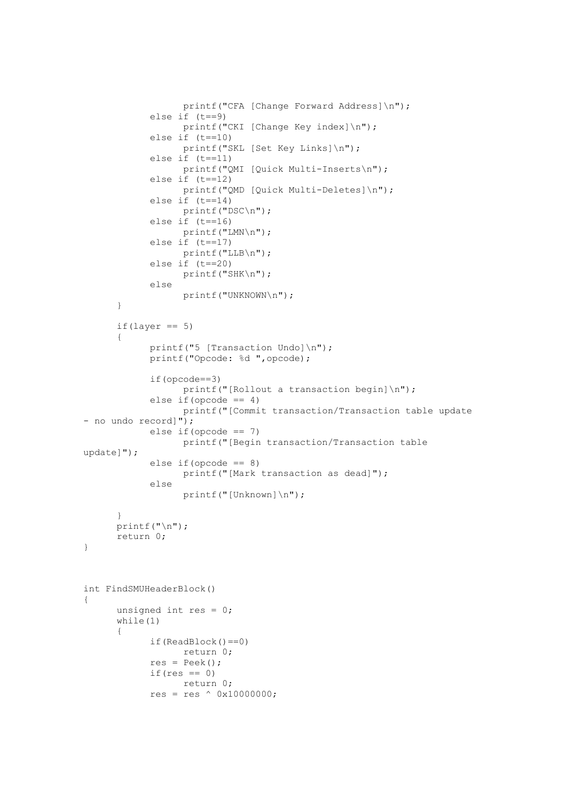```
 printf("CFA [Change Forward Address]\n"); 
              else if (t==9) 
                   printf("CKI [Change Key index]\n");
              else if (t==10) 
                    printf("SKL [Set Key Links]\n"); 
              else if (t==11) 
                    printf("QMI [Quick Multi-Inserts\n"); 
              else if (t==12) 
                    printf("QMD [Quick Multi-Deletes]\n"); 
             else if (t==14) printf("DSC\n"); 
              else if (t==16) 
                  printf("LMN\n");
              else if (t==17) 
                   printf("LLB\n"); 
              else if (t==20) 
                   printf("SHK\n"); 
              else 
                    printf("UNKNOWN\n"); 
       } 
      if(layer == 5) { 
             printf("5 [Transaction Undo]\n");
             printf("Opcode: %d ",opcode); 
              if(opcode==3) 
                   printf("[Rollout a transaction begin]\n");
             else if(opcode == 4) printf("[Commit transaction/Transaction table update 
- no undo record]"); 
             else if(opcode == 7) 
                    printf("[Begin transaction/Transaction table 
update]"); 
             else if(opcode == 8)printf("[Mark transaction as dead]");
              else 
                    printf("[Unknown]\n"); 
 } 
      print(f("\n');
       return 0; 
} 
int FindSMUHeaderBlock() 
{ 
      unsigned int res = 0;
       while(1) 
\{ if(ReadBlock()==0) 
                    return 0; 
              res = Peek(); 
             if(res == 0) return 0; 
             res = res ^ \wedge 0x10000000;
```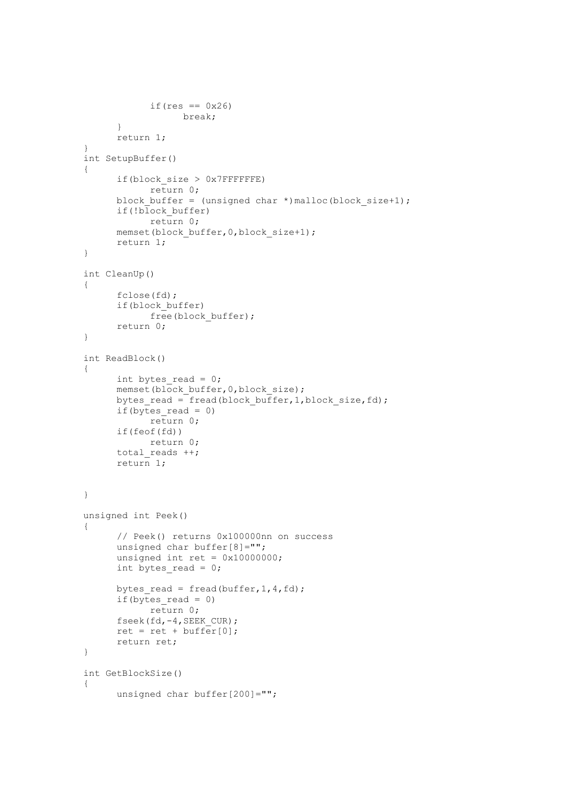```
if(res == 0x26)
                    break; 
 } 
       return 1; 
} 
int SetupBuffer() 
{ 
       if(block_size > 0x7FFFFFFE) 
              return 0; 
       block_buffer = (unsigned char *)malloc(block_size+1); 
       if(!block_buffer) 
              return 0; 
      memset(block buffer, 0, block size+1);
       return 1; 
} 
int CleanUp() 
{ 
       fclose(fd); 
       if(block_buffer) 
             free(block buffer);
       return 0; 
} 
int ReadBlock() 
{ 
      int bytes read = 0;
      memset(block buffer, 0, block size);
      bytes read = fread(block buffer, 1, block size, fd);
      if(bytes read = 0)
              return 0; 
       if(feof(fd)) 
              return 0; 
      total reads ++;
       return 1; 
} 
unsigned int Peek() 
{ 
       // Peek() returns 0x100000nn on success 
      unsigned char buffer[8]="";
      unsigned int ret = 0x10000000;
      int bytes read = 0;
      bytes read = fread(buffer, 1, 4, fd);
      if (bytes read = 0)
             return 0; 
       fseek(fd,-4,SEEK_CUR); 
      ret = ret + buffer[0];
       return ret; 
} 
int GetBlockSize() 
{ 
      unsigned char buffer[200]="";
```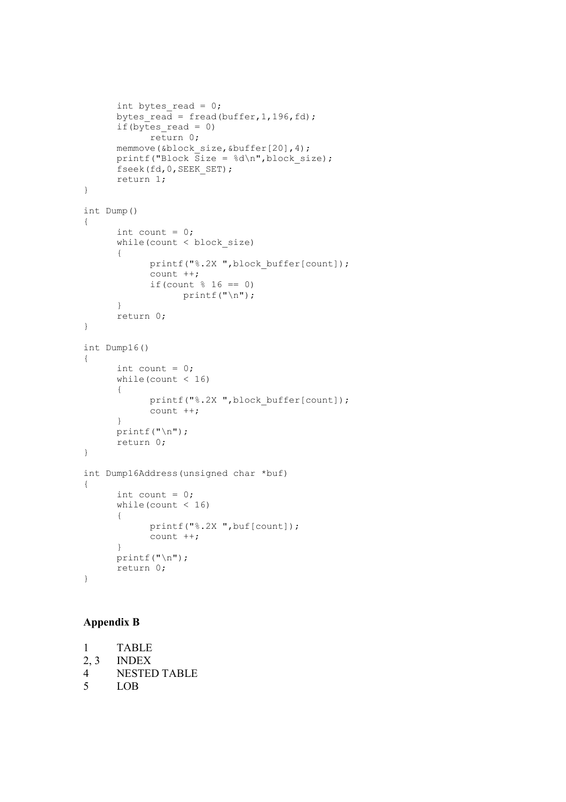```
int bytes read = 0;bytes read = fread(buffer, 1,196, fd);
      if(bytes read = 0)
             return 0; 
       memmove(&block_size,&buffer[20],4); 
      printf("Block Size = %d\nu", block size);
       fseek(fd,0,SEEK_SET); 
       return 1; 
} 
int Dump() 
{ 
      int count = 0;while(count < block size)
       { 
             printf("%.2X ",block buffer[count]);
              count ++; 
             if(count % = 0)
                   printf("\ln");
       } 
       return 0; 
} 
int Dump16() 
{ 
      int count = 0;while(count < 16)
       { 
             printf("%.2X ", block buffer[count]);
              count ++; 
       } 
      printf("\n");
       return 0; 
} 
int Dump16Address(unsigned char *buf) 
{ 
      int count = 0;
      while(count < 16)
       { 
              printf("%.2X ",buf[count]); 
              count ++; 
       } 
       printf("\n"); 
       return 0; 
}
```
# Appendix B

```
1 TABLE 
2, 3 INDEX 
4 NESTED TABLE<br>5 LOB
     5 LOB
```